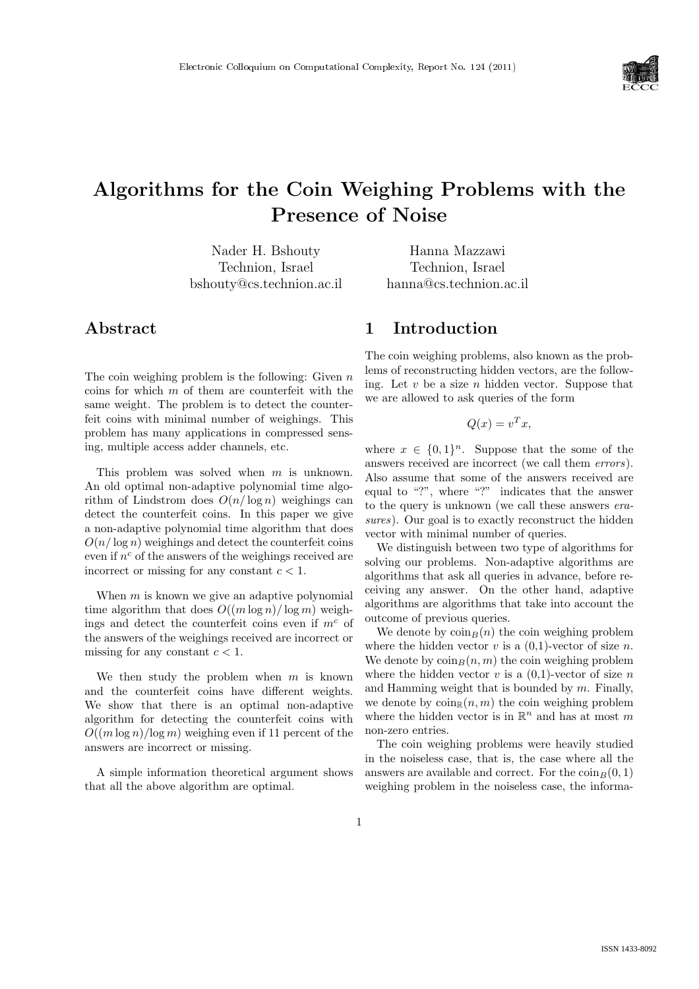

# Algorithms for the Coin Weighing Problems with the Presence of Noise

Nader H. Bshouty Technion, Israel bshouty@cs.technion.ac.il

Hanna Mazzawi Technion, Israel hanna@cs.technion.ac.il

# Abstract

The coin weighing problem is the following: Given  $n$ coins for which  $m$  of them are counterfeit with the same weight. The problem is to detect the counterfeit coins with minimal number of weighings. This problem has many applications in compressed sensing, multiple access adder channels, etc.

This problem was solved when m is unknown. An old optimal non-adaptive polynomial time algorithm of Lindstrom does  $O(n/\log n)$  weighings can detect the counterfeit coins. In this paper we give a non-adaptive polynomial time algorithm that does  $O(n/\log n)$  weighings and detect the counterfeit coins even if  $n^c$  of the answers of the weighings received are incorrect or missing for any constant  $c < 1$ .

When  $m$  is known we give an adaptive polynomial time algorithm that does  $O((m \log n)/\log m)$  weighings and detect the counterfeit coins even if  $m<sup>c</sup>$  of the answers of the weighings received are incorrect or missing for any constant  $c < 1$ .

We then study the problem when  $m$  is known and the counterfeit coins have different weights. We show that there is an optimal non-adaptive algorithm for detecting the counterfeit coins with  $O((m \log n)/\log m)$  weighing even if 11 percent of the answers are incorrect or missing.

A simple information theoretical argument shows that all the above algorithm are optimal.

## 1 Introduction

The coin weighing problems, also known as the problems of reconstructing hidden vectors, are the following. Let  $v$  be a size  $n$  hidden vector. Suppose that we are allowed to ask queries of the form

 $Q(x) = v^T x,$ 

where  $x \in \{0,1\}^n$ . Suppose that the some of the answers received are incorrect (we call them errors). Also assume that some of the answers received are equal to "?", where "?" indicates that the answer to the query is unknown (we call these answers erasures). Our goal is to exactly reconstruct the hidden vector with minimal number of queries.

We distinguish between two type of algorithms for solving our problems. Non-adaptive algorithms are algorithms that ask all queries in advance, before receiving any answer. On the other hand, adaptive algorithms are algorithms that take into account the outcome of previous queries.

We denote by  $\cosh B(n)$  the coin weighing problem where the hidden vector v is a  $(0,1)$ -vector of size n. We denote by  $\cosh_B(n, m)$  the coin weighing problem where the hidden vector v is a  $(0,1)$ -vector of size n and Hamming weight that is bounded by  $m$ . Finally, we denote by  $\text{coin}_\mathbb{R}(n, m)$  the coin weighing problem where the hidden vector is in  $\mathbb{R}^n$  and has at most m non-zero entries.

The coin weighing problems were heavily studied in the noiseless case, that is, the case where all the answers are available and correct. For the  $\text{coin}_B(0, 1)$ weighing problem in the noiseless case, the informa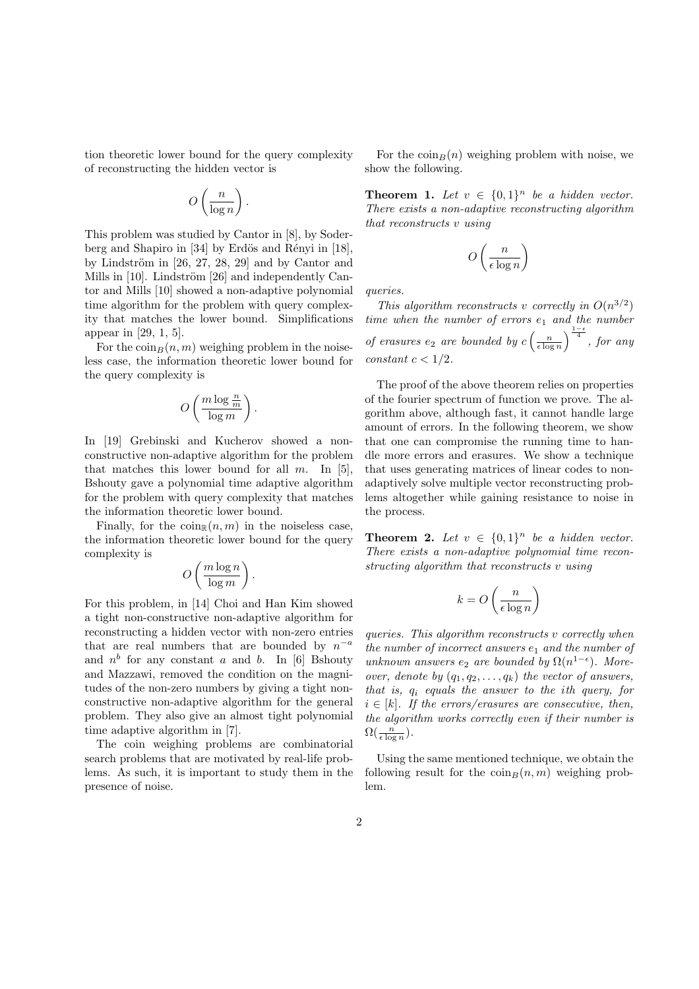tion theoretic lower bound for the query complexity of reconstructing the hidden vector is

$$
O\left(\frac{n}{\log n}\right)
$$

.

This problem was studied by Cantor in [8], by Soderberg and Shapiro in  $[34]$  by Erdös and Rényi in  $[18]$ , by Lindström in  $[26, 27, 28, 29]$  and by Cantor and Mills in  $[10]$ . Lindström  $[26]$  and independently Cantor and Mills [10] showed a non-adaptive polynomial time algorithm for the problem with query complexity that matches the lower bound. Simplifications appear in [29, 1, 5].

For the  $\min_B(n, m)$  weighing problem in the noiseless case, the information theoretic lower bound for the query complexity is

$$
O\left(\frac{m\log \frac{n}{m}}{\log m}\right)
$$

.

In [19] Grebinski and Kucherov showed a nonconstructive non-adaptive algorithm for the problem that matches this lower bound for all  $m$ . In [5], Bshouty gave a polynomial time adaptive algorithm for the problem with query complexity that matches the information theoretic lower bound.

Finally, for the  $\text{coin}_\mathbb{R}(n, m)$  in the noiseless case, the information theoretic lower bound for the query complexity is  $\overline{a}$  $\mathbf{r}$ 

$$
O\left(\frac{m\log n}{\log m}\right).
$$

For this problem, in [14] Choi and Han Kim showed a tight non-constructive non-adaptive algorithm for reconstructing a hidden vector with non-zero entries that are real numbers that are bounded by  $n^{-a}$ and  $n^b$  for any constant a and b. In [6] Bshouty and Mazzawi, removed the condition on the magnitudes of the non-zero numbers by giving a tight nonconstructive non-adaptive algorithm for the general problem. They also give an almost tight polynomial time adaptive algorithm in [7].

The coin weighing problems are combinatorial search problems that are motivated by real-life problems. As such, it is important to study them in the presence of noise.

For the  $\cosh B(n)$  weighing problem with noise, we show the following.

**Theorem 1.** Let  $v \in \{0,1\}^n$  be a hidden vector. There exists a non-adaptive reconstructing algorithm that reconstructs v using

$$
O\left(\frac{n}{\epsilon \log n}\right)
$$

queries.

This algorithm reconstructs v correctly in  $O(n^{3/2})$ time when the number of errors  $e_1$  and the number of erasures  $e_2$  are bounded by  $c$  $\left(\frac{n}{\epsilon \log n}\right)$  $\int_{\frac{1-\epsilon}{4}}^{\frac{1-\epsilon}{4}}$ , for any constant  $c < 1/2$ .

The proof of the above theorem relies on properties of the fourier spectrum of function we prove. The algorithm above, although fast, it cannot handle large amount of errors. In the following theorem, we show that one can compromise the running time to handle more errors and erasures. We show a technique that uses generating matrices of linear codes to nonadaptively solve multiple vector reconstructing problems altogether while gaining resistance to noise in the process.

**Theorem 2.** Let  $v \in \{0,1\}^n$  be a hidden vector. There exists a non-adaptive polynomial time reconstructing algorithm that reconstructs v using

$$
k = O\left(\frac{n}{\epsilon \log n}\right)
$$

queries. This algorithm reconstructs v correctly when the number of incorrect answers  $e_1$  and the number of unknown answers  $e_2$  are bounded by  $\Omega(n^{1-\epsilon})$ . Moreover, denote by  $(q_1, q_2, \ldots, q_k)$  the vector of answers, that is,  $q_i$  equals the answer to the ith query, for  $i \in [k]$ . If the errors/erasures are consecutive, then, the algorithm works correctly even if their number is  $\Omega(\frac{n}{\epsilon \log n}).$ 

Using the same mentioned technique, we obtain the following result for the  $\text{coin}_B(n, m)$  weighing problem.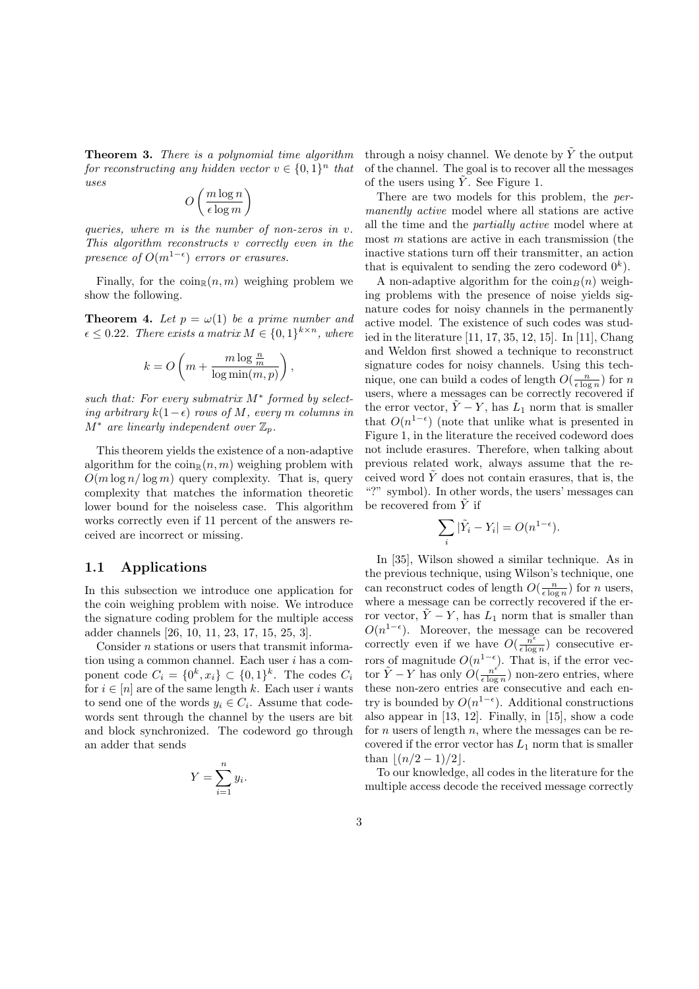Theorem 3. There is a polynomial time algorithm for reconstructing any hidden vector  $v \in \{0,1\}^n$  that uses  $\overline{a}$  $\mathbf{r}$ 

$$
O\left(\frac{m\log n}{\epsilon\log m}\right)
$$

queries, where m is the number of non-zeros in v. This algorithm reconstructs v correctly even in the presence of  $O(m^{1-\epsilon})$  errors or erasures.

Finally, for the  $\text{coin}_\mathbb{R}(n, m)$  weighing problem we show the following.

**Theorem 4.** Let  $p = \omega(1)$  be a prime number and  $\epsilon \leq 0.22$ . There exists a matrix  $M \in \{0,1\}^{k \times n}$ , where

$$
k = O\left(m + \frac{m\log\frac{n}{m}}{\log\min(m, p)}\right),\,
$$

such that: For every submatrix  $M^*$  formed by selecting arbitrary  $k(1-\epsilon)$  rows of M, every m columns in  $M^*$  are linearly independent over  $\mathbb{Z}_p$ .

This theorem yields the existence of a non-adaptive algorithm for the  $\text{coin}_R(n, m)$  weighing problem with  $O(m \log n / \log m)$  query complexity. That is, query complexity that matches the information theoretic lower bound for the noiseless case. This algorithm works correctly even if 11 percent of the answers received are incorrect or missing.

#### 1.1 Applications

In this subsection we introduce one application for the coin weighing problem with noise. We introduce the signature coding problem for the multiple access adder channels [26, 10, 11, 23, 17, 15, 25, 3].

Consider n stations or users that transmit information using a common channel. Each user  $i$  has a component code  $C_i = \{0^k, x_i\} \subset \{0, 1\}^k$ . The codes  $C_i$ for  $i \in [n]$  are of the same length k. Each user i wants to send one of the words  $y_i \in C_i$ . Assume that codewords sent through the channel by the users are bit and block synchronized. The codeword go through an adder that sends

$$
Y = \sum_{i=1}^{n} y_i.
$$

through a noisy channel. We denote by  $\tilde{Y}$  the output of the channel. The goal is to recover all the messages of the users using  $\tilde{Y}$ . See Figure 1.

There are two models for this problem, the permanently active model where all stations are active all the time and the partially active model where at most  $m$  stations are active in each transmission (the inactive stations turn off their transmitter, an action that is equivalent to sending the zero codeword  $0^k$ ).

A non-adaptive algorithm for the  $\sin_B(n)$  weighing problems with the presence of noise yields signature codes for noisy channels in the permanently active model. The existence of such codes was studied in the literature [11, 17, 35, 12, 15]. In [11], Chang and Weldon first showed a technique to reconstruct signature codes for noisy channels. Using this technique, one can build a codes of length  $O(\frac{n}{\epsilon \log n})$  for n users, where a messages can be correctly recovered if the error vector,  $\tilde{Y} - Y$ , has  $L_1$  norm that is smaller that  $O(n^{1-\epsilon})$  (note that unlike what is presented in Figure 1, in the literature the received codeword does not include erasures. Therefore, when talking about previous related work, always assume that the received word  $\tilde{Y}$  does not contain erasures, that is, the "?" symbol). In other words, the users' messages can be recovered from  $\tilde{Y}$  if

$$
\sum_{i} |\tilde{Y}_i - Y_i| = O(n^{1-\epsilon}).
$$

In [35], Wilson showed a similar technique. As in the previous technique, using Wilson's technique, one can reconstruct codes of length  $O(\frac{n}{\epsilon \log n})$  for *n* users, where a message can be correctly recovered if the error vector,  $Y - Y$ , has  $L_1$  norm that is smaller than  $O(n^{1-\epsilon})$ . Moreover, the message can be recovered correctly even if we have  $O(\frac{n^{\epsilon}}{\epsilon \log n})$  $\frac{n^c}{\epsilon \log n}$  consecutive errors of magnitude  $O(n^{1-\epsilon})$ . That is, if the error vector  $\tilde{Y} - Y$  has only  $\tilde{O}(\frac{n^{\epsilon}}{\epsilon \log n})$  $\frac{n^c}{\epsilon \log n}$ ) non-zero entries, where these non-zero entries are consecutive and each entry is bounded by  $O(n^{1-\epsilon})$ . Additional constructions also appear in [13, 12]. Finally, in [15], show a code for  $n$  users of length  $n$ , where the messages can be recovered if the error vector has  $L_1$  norm that is smaller than  $|(n/2 - 1)/2|$ .

To our knowledge, all codes in the literature for the multiple access decode the received message correctly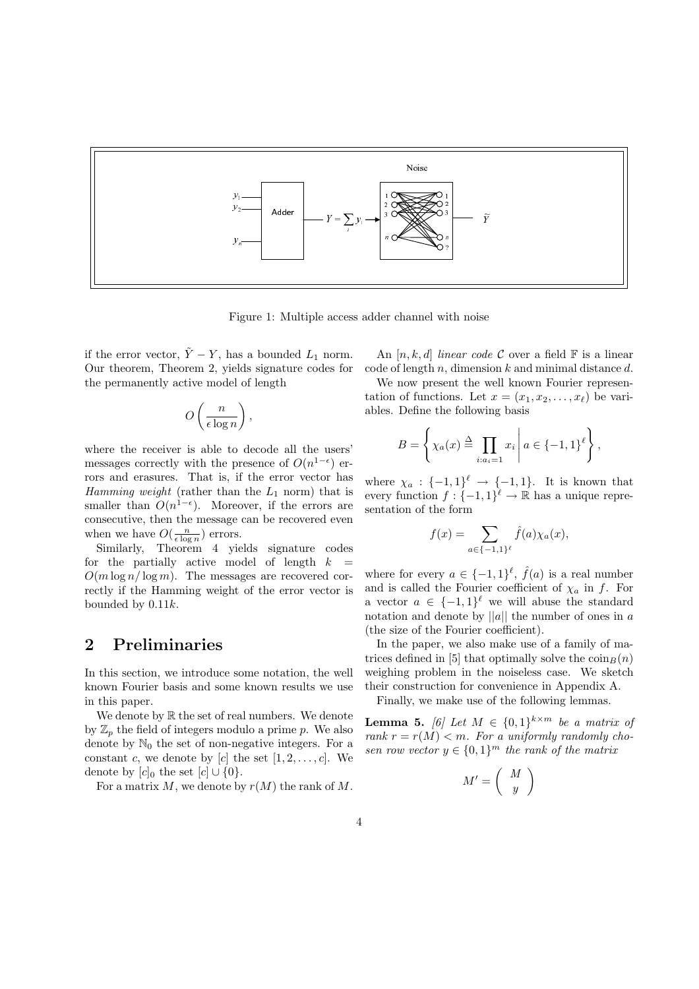

Figure 1: Multiple access adder channel with noise

if the error vector,  $\tilde{Y} - Y$ , has a bounded  $L_1$  norm. Our theorem, Theorem 2, yields signature codes for the permanently active model of length

$$
O\left(\frac{n}{\epsilon \log n}\right),\
$$

where the receiver is able to decode all the users' messages correctly with the presence of  $O(n^{1-\epsilon})$  errors and erasures. That is, if the error vector has Hamming weight (rather than the  $L_1$  norm) that is smaller than  $O(n^{1-\epsilon})$ . Moreover, if the errors are consecutive, then the message can be recovered even when we have  $O(\frac{n}{\epsilon \log n})$  errors.

Similarly, Theorem 4 yields signature codes for the partially active model of length  $k =$  $O(m \log n / \log m)$ . The messages are recovered correctly if the Hamming weight of the error vector is bounded by 0.11k.

# 2 Preliminaries

In this section, we introduce some notation, the well known Fourier basis and some known results we use in this paper.

We denote by  $\mathbb R$  the set of real numbers. We denote by  $\mathbb{Z}_n$  the field of integers modulo a prime p. We also denote by  $\mathbb{N}_0$  the set of non-negative integers. For a constant c, we denote by [c] the set  $[1, 2, \ldots, c]$ . We denote by  $[c]_0$  the set  $[c] \cup \{0\}.$ 

For a matrix  $M$ , we denote by  $r(M)$  the rank of  $M$ .

An  $[n, k, d]$  linear code C over a field  $\mathbb F$  is a linear code of length n, dimension  $k$  and minimal distance  $d$ .

We now present the well known Fourier representation of functions. Let  $x = (x_1, x_2, \ldots, x_\ell)$  be variables. Define the following basis

$$
B = \left\{ \chi_a(x) \stackrel{\Delta}{=} \prod_{i:a_i=1} x_i \, \middle| \, a \in \{-1,1\}^\ell \right\},
$$

where  $\chi_a: \{-1,1\}^{\ell} \to \{-1,1\}$ . It is known that every function  $f: \{-1,1\}^{\ell} \to \mathbb{R}$  has a unique representation of the form

$$
f(x) = \sum_{a \in \{-1,1\}^{\ell}} \hat{f}(a) \chi_a(x),
$$

where for every  $a \in \{-1,1\}^{\ell}, \hat{f}(a)$  is a real number and is called the Fourier coefficient of  $\chi_a$  in f. For a vector  $a \in \{-1,1\}^{\ell}$  we will abuse the standard notation and denote by  $||a||$  the number of ones in a (the size of the Fourier coefficient).

In the paper, we also make use of a family of matrices defined in [5] that optimally solve the  $\sin_B(n)$ weighing problem in the noiseless case. We sketch their construction for convenience in Appendix A.

Finally, we make use of the following lemmas.

**Lemma 5.** [6] Let  $M \in \{0,1\}^{k \times m}$  be a matrix of rank  $r = r(M) < m$ . For a uniformly randomly chosen row vector  $y \in \{0,1\}^m$  the rank of the matrix

$$
M' = \left(\begin{array}{c} M \\ y \end{array}\right)
$$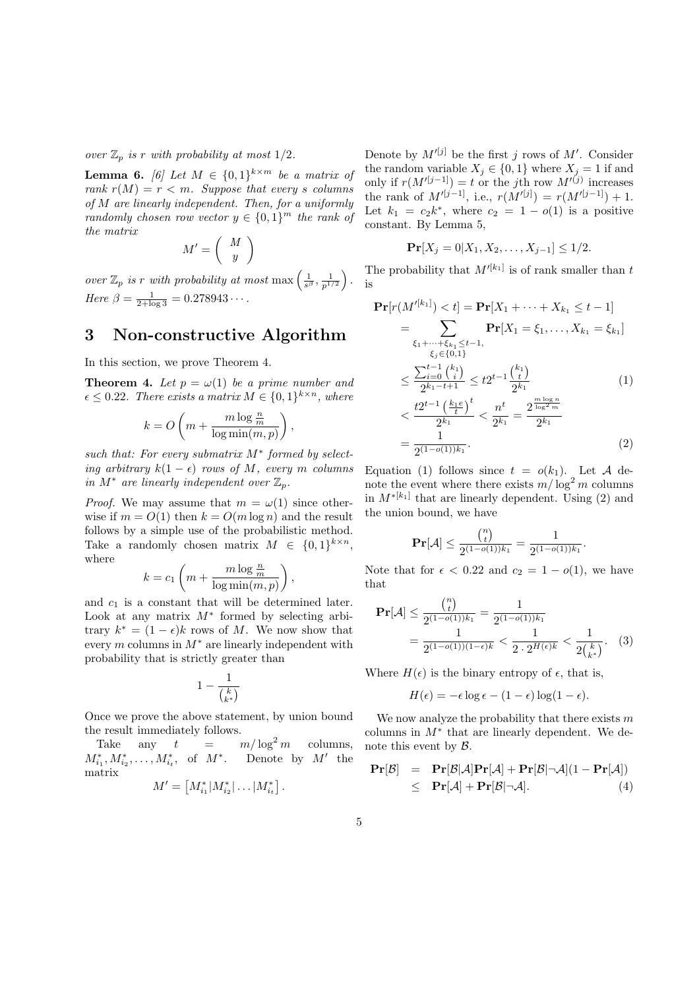over  $\mathbb{Z}_p$  is r with probability at most  $1/2$ .

**Lemma 6.** [6] Let  $M \in \{0,1\}^{k \times m}$  be a matrix of rank  $r(M) = r < m$ . Suppose that every s columns of M are linearly independent. Then, for a uniformly randomly chosen row vector  $y \in \{0,1\}^m$  the rank of the matrix  $\overline{a}$  $\mathbf{r}$ 

$$
M'=\left(\begin{array}{c}M\\y\end{array}\right)
$$

over  $\mathbb{Z}_p$  is r with probability at most max  $\left(\frac{1}{s^{\beta}}, \frac{1}{p^{1/2}}\right)$ ´ . Here  $\beta = \frac{1}{2 + \log 3} = 0.278943 \cdots$ .

# 3 Non-constructive Algorithm

In this section, we prove Theorem 4.

**Theorem 4.** Let  $p = \omega(1)$  be a prime number and  $\epsilon \leq 0.22$ . There exists a matrix  $M \in \{0,1\}^{k \times n}$ , where

$$
k = O\left(m + \frac{m\log\frac{n}{m}}{\log\min(m, p)}\right),\,
$$

such that: For every submatrix  $M^*$  formed by selecting arbitrary  $k(1 - \epsilon)$  rows of M, every m columns in  $M^*$  are linearly independent over  $\mathbb{Z}_n$ .

*Proof.* We may assume that  $m = \omega(1)$  since otherwise if  $m = O(1)$  then  $k = O(m \log n)$  and the result follows by a simple use of the probabilistic method. Take a randomly chosen matrix  $M \in \{0,1\}^{k \times n}$ , where  $\overline{a}$  $\mathbf{r}$ 

$$
k = c_1 \left( m + \frac{m \log \frac{n}{m}}{\log \min(m, p)} \right),
$$

and  $c_1$  is a constant that will be determined later. Look at any matrix  $M^*$  formed by selecting arbitrary  $k^* = (1 - \epsilon)k$  rows of M. We now show that every  $m$  columns in  $M^*$  are linearly independent with probability that is strictly greater than

$$
1-\frac{1}{{k \choose k^*}}
$$

Once we prove the above statement, by union bound the result immediately follows.

Take any  $t = m/\log^2 m$ columns,  $M^*_{i_1}, M^*_{i_2}, \ldots, M^*_{i_t}$ , of  $M^*$ . Denote by  $M'$  the matrix £ l<br>E

$$
M' = [M_{i_1}^* | M_{i_2}^* | \dots | M_{i_t}^*].
$$

Denote by  $M^{\prime [j]}$  be the first j rows of M'. Consider the random variable  $X_j \in \{0,1\}$  where  $X_j = 1$  if and only if  $r(M^{j-j}) = t$  or the jth row  $M^{j}(j)$  increases the rank of  $M^{(j-1]}$ , i.e.,  $r(M^{(j)}) = r(M^{(j-1)}) + 1$ . Let  $k_1 = c_2 k^*$ , where  $c_2 = 1 - o(1)$  is a positive constant. By Lemma 5,

$$
\Pr[X_j = 0 | X_1, X_2, \dots, X_{j-1}] \le 1/2.
$$

The probability that  $M^{(k_1)}$  is of rank smaller than t is

$$
\begin{split} \mathbf{Pr}[r(M'^{[k_1]}) < t] = \mathbf{Pr}[X_1 + \dots + X_{k_1} \le t - 1] \\ &= \sum_{\xi_1 + \dots + \xi_{k_1} \le t - 1, \qquad \xi_j \in \{0, 1\}} \mathbf{Pr}[X_1 = \xi_1, \dots, X_{k_1} = \xi_{k_1}] \\ &\le \frac{\sum_{i=0}^{t-1} {k_1 \choose i}}{2^{k_1 - t + 1}} \le t2^{t-1} \frac{{k_1 \choose t}}{2^{k_1}} \\ &< \frac{t2^{t-1} \left(\frac{k_1 e}{t}\right)^t}{2^{k_1}} < \frac{n^t}{2^{k_1}} = \frac{2^{\frac{m \log n}{\log 2 m}}}{2^{k_1}} \\ &= \frac{1}{2^{(1 - o(1))k_1}}. \end{split} \tag{2}
$$

Equation (1) follows since  $t = o(k_1)$ . Let A denote the event where there exists  $m/\log^2 m$  columns in  $M^{*[k_1]}$  that are linearly dependent. Using (2) and the union bound, we have

$$
\mathbf{Pr}[\mathcal{A}] \le \frac{\binom{n}{t}}{2^{(1 - o(1))k_1}} = \frac{1}{2^{(1 - o(1))k_1}}.
$$

Note that for  $\epsilon < 0.22$  and  $c_2 = 1 - o(1)$ , we have that ¢

$$
\mathbf{Pr}[\mathcal{A}] \le \frac{\binom{n}{t}}{2^{(1-o(1))k_1}} = \frac{1}{2^{(1-o(1))k_1}} = \frac{1}{2^{(1-o(1))(1-\epsilon)k}} < \frac{1}{2 \cdot 2^{H(\epsilon)k}} < \frac{1}{2\binom{k}{k^*}}. \tag{3}
$$

Where  $H(\epsilon)$  is the binary entropy of  $\epsilon$ , that is,

$$
H(\epsilon) = -\epsilon \log \epsilon - (1 - \epsilon) \log(1 - \epsilon).
$$

We now analyze the probability that there exists  $m$ columns in  $M^*$  that are linearly dependent. We denote this event by B.

$$
\begin{array}{rcl}\n\mathbf{Pr}[\mathcal{B}] & = & \mathbf{Pr}[\mathcal{B}|\mathcal{A}]\mathbf{Pr}[\mathcal{A}] + \mathbf{Pr}[\mathcal{B}|\neg\mathcal{A}](1 - \mathbf{Pr}[\mathcal{A}]) \\
& \leq & \mathbf{Pr}[\mathcal{A}] + \mathbf{Pr}[\mathcal{B}|\neg\mathcal{A}].\n\end{array}\n\tag{4}
$$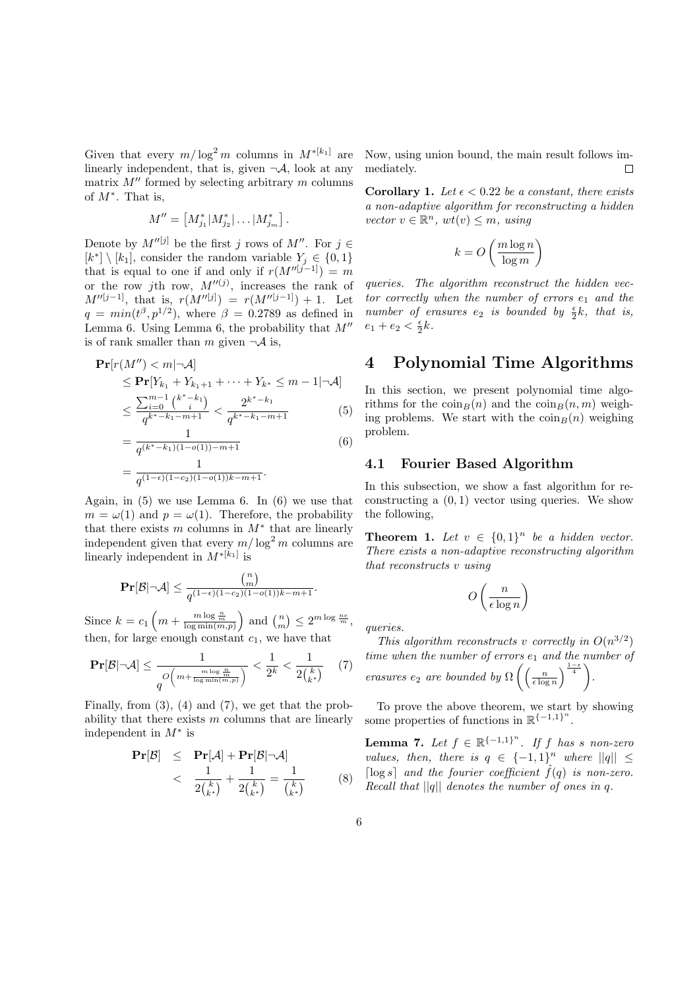Given that every  $m/\log^2 m$  columns in  $M^{*[k_1]}$  are linearly independent, that is, given  $\neg A$ , look at any matrix  $M''$  formed by selecting arbitrary m columns of  $M^*$ . That is,

$$
M'' = \left[ M_{j_1}^* | M_{j_2}^* | \dots | M_{j_m}^* \right].
$$

Denote by  $M''^{[j]}$  be the first j rows of  $M''$ . For  $j \in$  $[k^*] \setminus [k_1]$ , consider the random variable  $Y_j \in \{0, 1\}$ that is equal to one if and only if  $r(M^{\prime\prime}[j-1]) = m$ or the row jth row,  $M''^{(j)}$ , increases the rank of  $M''^{[j-1]}$ , that is,  $r(M''^{[j]}) = r(M''^{[j-1]}) + 1$ . Let  $q = min(t^{\beta}, p^{1/2})$ , where  $\beta = 0.2789$  as defined in Lemma 6. Using Lemma 6, the probability that  $M''$ is of rank smaller than m given  $\neg A$  is,

$$
\begin{split} \mathbf{Pr}[r(M'') < m|\neg \mathcal{A}] \\ &\leq \mathbf{Pr}[Y_{k_1} + Y_{k_1+1} + \dots + Y_{k^*} \leq m-1|\neg \mathcal{A}] \\ &\leq \frac{\sum_{i=0}^{m-1} {k^* - k_1 \choose i}}{q^{k^* - k_1 - m + 1}} < \frac{2^{k^* - k_1}}{q^{k^* - k_1 - m + 1}} \end{split} \tag{5}
$$

$$
= \frac{1}{q^{(k^* - k_1)(1 - o(1)) - m + 1}}
$$
\n
$$
= \frac{1}{q^{(1 - \epsilon)(1 - c_2)(1 - o(1))k - m + 1}}.
$$
\n(6)

Again, in (5) we use Lemma 6. In (6) we use that  $m = \omega(1)$  and  $p = \omega(1)$ . Therefore, the probability that there exists m columns in  $M^*$  that are linearly independent given that every  $m/\log^2 m$  columns are linearly independent in  $M^*[k_1]$  is

$$
\mathbf{Pr}[\mathcal{B} | \neg \mathcal{A}] \leq \frac{\binom{n}{m}}{q^{(1-\epsilon)(1-c_2)(1-o(1))k-m+1}}.
$$

Since  $k = c_1$  $m + \frac{m \log \frac{n}{m}}{\log \min(m,p)}$ ) and  $\binom{n}{m}$ ¢  $\leq 2^{m \log \frac{ne}{m}},$ then, for large enough constant  $c_1$ , we have that

$$
\mathbf{Pr}[\mathcal{B}|\neg \mathcal{A}] \le \frac{1}{q^O\left(m + \frac{m \log \frac{n}{m}}{\log \min(m, p)}\right)} < \frac{1}{2^k} < \frac{1}{2\binom{k}{k^*}} \tag{7}
$$

Finally, from  $(3)$ ,  $(4)$  and  $(7)$ , we get that the probability that there exists  $m$  columns that are linearly independent in  $M^*$  is

$$
\begin{array}{rcl}\n\mathbf{Pr}[\mathcal{B}] & \leq & \mathbf{Pr}[\mathcal{A}] + \mathbf{Pr}[\mathcal{B}|\neg\mathcal{A}] \\
& < & \frac{1}{2\binom{k}{k^*}} + \frac{1}{2\binom{k}{k^*}} = \frac{1}{\binom{k}{k^*}}\n\end{array} \tag{8}
$$

Now, using union bound, the main result follows immediately.  $\Box$ 

**Corollary 1.** Let  $\epsilon$  < 0.22 be a constant, there exists a non-adaptive algorithm for reconstructing a hidden vector  $v \in \mathbb{R}^n$ ,  $wt(v) \leq m$ , using

$$
k = O\left(\frac{m\log n}{\log m}\right)
$$

queries. The algorithm reconstruct the hidden vector correctly when the number of errors  $e_1$  and the number of erasures  $e_2$  is bounded by  $\frac{\epsilon}{2}k$ , that is,  $e_1 + e_2 < \frac{\epsilon}{2}k$ .

# 4 Polynomial Time Algorithms

In this section, we present polynomial time algorithms for the  $\text{coin}_B(n)$  and the  $\text{coin}_B(n, m)$  weighing problems. We start with the  $\sin B(n)$  weighing problem.

#### 4.1 Fourier Based Algorithm

In this subsection, we show a fast algorithm for reconstructing a  $(0, 1)$  vector using queries. We show the following,

**Theorem 1.** Let  $v \in \{0,1\}^n$  be a hidden vector. There exists a non-adaptive reconstructing algorithm that reconstructs v using

$$
O\left(\frac{n}{\epsilon \log n}\right)
$$

queries.

This algorithm reconstructs v correctly in  $O(n^{3/2})$ time when the number of errors  $e_1$  and the number of erasures  $e_2$  are bounded by  $\Omega$  $\int \frac{n}{\epsilon \log n}$  $\frac{1-\epsilon}{4}$ .

To prove the above theorem, we start by showing some properties of functions in  $\mathbb{R}^{\{-1,1\}^n}$ .

**Lemma 7.** Let  $f \in \mathbb{R}^{\{-1,1\}^n}$ . If f has s non-zero values, then, there is  $q \in \{-1,1\}^n$  where  $||q|| \leq$ [ $\log s$ ] and the fourier coefficient  $\hat{f}(q)$  is non-zero. Recall that  $||q||$  denotes the number of ones in q.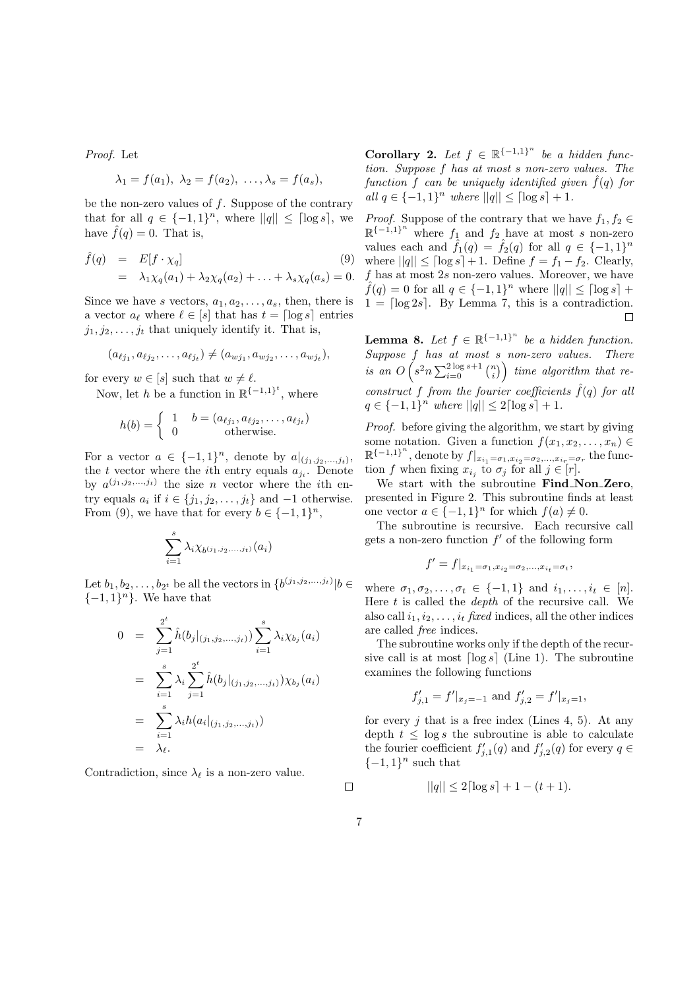Proof. Let

$$
\lambda_1 = f(a_1), \ \lambda_2 = f(a_2), \ \ldots, \lambda_s = f(a_s),
$$

be the non-zero values of f. Suppose of the contrary that for all  $q \in \{-1,1\}^n$ , where  $||q|| \leq \lceil \log s \rceil$ , we have  $\hat{f}(q) = 0$ . That is,

$$
\hat{f}(q) = E[f \cdot \chi_q]
$$
\n
$$
= \lambda_1 \chi_q(a_1) + \lambda_2 \chi_q(a_2) + \ldots + \lambda_s \chi_q(a_s) = 0.
$$
\n(9)

Since we have s vectors,  $a_1, a_2, \ldots, a_s$ , then, there is a vector  $a_\ell$  where  $\ell \in [s]$  that has  $t = \lceil \log s \rceil$  entries  $j_1, j_2, \ldots, j_t$  that uniquely identify it. That is,

$$
(a_{\ell j_1}, a_{\ell j_2}, \ldots, a_{\ell j_t}) \neq (a_{w j_1}, a_{w j_2}, \ldots, a_{w j_t}),
$$

for every  $w \in [s]$  such that  $w \neq \ell$ .

Now, let h be a function in  $\mathbb{R}^{\{-1,1\}^t}$ , where

$$
h(b) = \begin{cases} 1 & b = (a_{\ell j_1}, a_{\ell j_2}, \dots, a_{\ell j_t}) \\ 0 & \text{otherwise.} \end{cases}
$$

For a vector  $a \in \{-1,1\}^n$ , denote by  $a|_{(j_1,j_2,...,j_t)}$ , the t vector where the *i*<sup>th</sup> entry equals  $a_{j_i}$ . Denote by  $a^{(j_1,j_2,...,j_t)}$  the size *n* vector where the *i*th entry equals  $a_i$  if  $i \in \{j_1, j_2, \ldots, j_t\}$  and  $-1$  otherwise. From (9), we have that for every  $b \in \{-1,1\}^n$ ,

$$
\sum_{i=1}^s \lambda_i \chi_{b^{(j_1,j_2,...,j_t)}}(a_i)
$$

Let  $b_1, b_2, \ldots, b_{2^t}$  be all the vectors in  $\{b^{(j_1,j_2,\ldots,j_t)}|b\in$  $\{-1,1\}^n$ . We have that

$$
0 = \sum_{j=1}^{2^t} \hat{h}(b_j|_{(j_1, j_2, \ldots, j_t)}) \sum_{i=1}^s \lambda_i \chi_{b_j}(a_i)
$$
  
\n
$$
= \sum_{i=1}^s \lambda_i \sum_{j=1}^{2^t} \hat{h}(b_j|_{(j_1, j_2, \ldots, j_t)}) \chi_{b_j}(a_i)
$$
  
\n
$$
= \sum_{i=1}^s \lambda_i h(a_i|_{(j_1, j_2, \ldots, j_t)})
$$
  
\n
$$
= \lambda_{\ell}.
$$

Contradiction, since  $\lambda_{\ell}$  is a non-zero value.

**Corollary 2.** Let  $f \in \mathbb{R}^{\{-1,1\}^n}$  be a hidden function. Suppose f has at most s non-zero values. The function f can be uniquely identified given  $\hat{f}(q)$  for all  $q \in \{-1, 1\}^n$  where  $||q|| \leq \lceil \log s \rceil + 1$ .

*Proof.* Suppose of the contrary that we have  $f_1, f_2 \in$  $\mathbb{R}^{\{-1,1\}^n}$  where  $f_1$  and  $f_2$  have at most s non-zero values each and  $\tilde{f}_1(q) = \tilde{f}_2(q)$  for all  $q \in \{-1,1\}^n$ where  $||q|| \leq \lceil \log s \rceil + 1$ . Define  $f = f_1 - f_2$ . Clearly,  $f$  has at most  $2s$  non-zero values. Moreover, we have  $\hat{f}(q) = 0$  for all  $q \in \{-1,1\}^n$  where  $||q|| \leq \lceil \log s \rceil + 1$  $1 = \lfloor \log 2s \rfloor$ . By Lemma 7, this is a contradiction.  $\Box$ 

**Lemma 8.** Let  $f \in \mathbb{R}^{\{-1,1\}^n}$  be a hidden function.  $Suppose \t{f} has at most s non-zero values. There$  $\int$  is an  $O\left(s^2 n \sum_{i=0}^{2\log s+1} \binom{n}{i}\right)$ ¢ time algorithm that reconstruct f from the fourier coefficients  $\hat{f}(q)$  for all  $q \in \{-1,1\}^n$  where  $||q|| \leq 2 \lceil \log s \rceil + 1$ .

Proof. before giving the algorithm, we start by giving some notation. Given a function  $f(x_1, x_2, \ldots, x_n) \in$  $\mathbb{R}^{\{-1,1\}^n}$ , denote by  $f|_{x_{i_1}=\sigma_1, x_{i_2}=\sigma_2, ..., x_{i_r}=\sigma_r}$  the function f when fixing  $x_{i_j}$  to  $\sigma_j$  for all  $j \in [r]$ .

We start with the subroutine Find\_Non\_Zero, presented in Figure 2. This subroutine finds at least one vector  $a \in \{-1,1\}^n$  for which  $f(a) \neq 0$ .

The subroutine is recursive. Each recursive call gets a non-zero function  $f'$  of the following form

$$
f' = f|_{x_{i_1} = \sigma_1, x_{i_2} = \sigma_2, ..., x_{i_t} = \sigma_t},
$$

where  $\sigma_1, \sigma_2, \ldots, \sigma_t \in \{-1, 1\}$  and  $i_1, \ldots, i_t \in [n]$ . Here  $t$  is called the *depth* of the recursive call. We also call  $i_1, i_2, \ldots, i_t$  fixed indices, all the other indices are called free indices.

The subroutine works only if the depth of the recursive call is at most  $\lceil \log s \rceil$  (Line 1). The subroutine examines the following functions

$$
f'_{j,1} = f'|_{x_j = -1}
$$
 and  $f'_{j,2} = f'|_{x_j = 1}$ ,

for every j that is a free index (Lines 4, 5). At any depth  $t \leq \log s$  the subroutine is able to calculate the fourier coefficient  $f'_{j,1}(q)$  and  $f'_{j,2}(q)$  for every  $q \in$  $\{-1,1\}$ <sup>n</sup> such that

 $||q|| \leq 2\lceil \log s \rceil + 1 - (t+1).$ 

7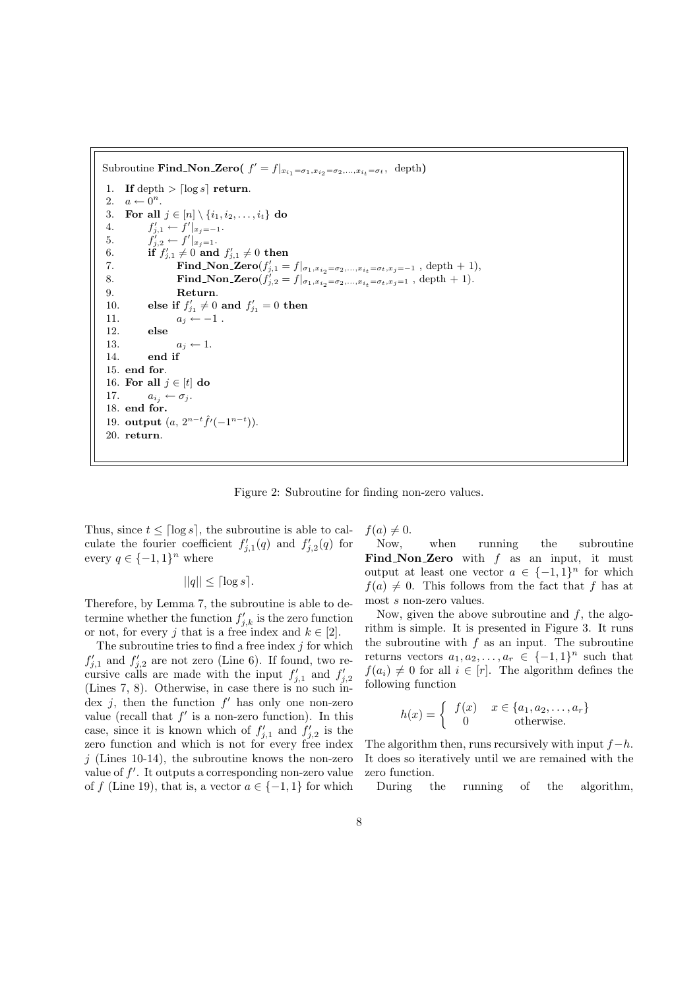Subroutine **Find\_Non\_Zero**( $f' = f|_{x_{i_1} = \sigma_1, x_{i_2} = \sigma_2, ..., x_{i_t} = \sigma_t}$ , depth) 1. If depth  $>$  [log s] return. 2.  $a \leftarrow 0^n$ . 3. For all  $j \in [n] \setminus \{i_1, i_2, \ldots, i_t\}$  do 4.  $f'_{j,1} \leftarrow f'|_{x_j=-1}.$ 5. f  $f'|_{x_j=1}.$ 6. if  $f'_{j,1} \neq 0$  and  $f'_{j,1} \neq 0$  then 7. **Find\_Non\_Zero** $(f'_{j,1} = f|_{\sigma_1, x_{i_2} = \sigma_2, ..., x_{i_t} = \sigma_t, x_j = -1}$ , depth + 1), 8. **Find Non Zero** $(f'_{j,2} = f|_{\sigma_1, x_{i_2} = \sigma_2, ..., x_{i_t} = \sigma_t, x_j = 1}$ , depth + 1). 9. Return. 10. else if  $f'_{j_1} \neq 0$  and  $f'_{j_1} = 0$  then 11.  $a_j \leftarrow -1$ . 12. else 13.  $a_j \leftarrow 1$ .  $14$  end if 15. end for. 16. For all  $j \in [t]$  do 17.  $a_{i_j} \leftarrow \sigma_j$ . 18. end for. 19. output  $(a, 2^{n-t} \hat{f}'(-1^{n-t}))$ . 20. return.

Figure 2: Subroutine for finding non-zero values.

Thus, since  $t \leq \lceil \log s \rceil$ , the subroutine is able to calculate the fourier coefficient  $f'_{j,1}(q)$  and  $f'_{j,2}(q)$  for every  $q \in \{-1,1\}^n$  where

$$
||q|| \leq \lceil \log s \rceil.
$$

Therefore, by Lemma 7, the subroutine is able to determine whether the function  $f'_{j,k}$  is the zero function or not, for every j that is a free index and  $k \in [2]$ .

The subroutine tries to find a free index  $j$  for which  $f'_{j,1}$  and  $f'_{j,2}$  are not zero (Line 6). If found, two recursive calls are made with the input  $f'_{j,1}$  and  $f'_{j,2}$ (Lines 7, 8). Otherwise, in case there is no such index j, then the function  $f'$  has only one non-zero value (recall that  $f'$  is a non-zero function). In this case, since it is known which of  $f'_{j,1}$  and  $f'_{j,2}$  is the zero function and which is not for every free index  $j$  (Lines 10-14), the subroutine knows the non-zero value of  $f'$ . It outputs a corresponding non-zero value of f (Line 19), that is, a vector  $a \in \{-1, 1\}$  for which  $f(a) \neq 0.$ 

Now, when running the subroutine Find Non Zero with  $f$  as an input, it must output at least one vector  $a \in \{-1,1\}^n$  for which  $f(a) \neq 0$ . This follows from the fact that f has at most s non-zero values.

Now, given the above subroutine and  $f$ , the algorithm is simple. It is presented in Figure 3. It runs the subroutine with  $f$  as an input. The subroutine returns vectors  $a_1, a_2, \ldots, a_r \in \{-1, 1\}^n$  such that  $f(a_i) \neq 0$  for all  $i \in [r]$ . The algorithm defines the following function

$$
h(x) = \begin{cases} f(x) & x \in \{a_1, a_2, \dots, a_r\} \\ 0 & \text{otherwise.} \end{cases}
$$

The algorithm then, runs recursively with input  $f-h$ . It does so iteratively until we are remained with the zero function.

During the running of the algorithm,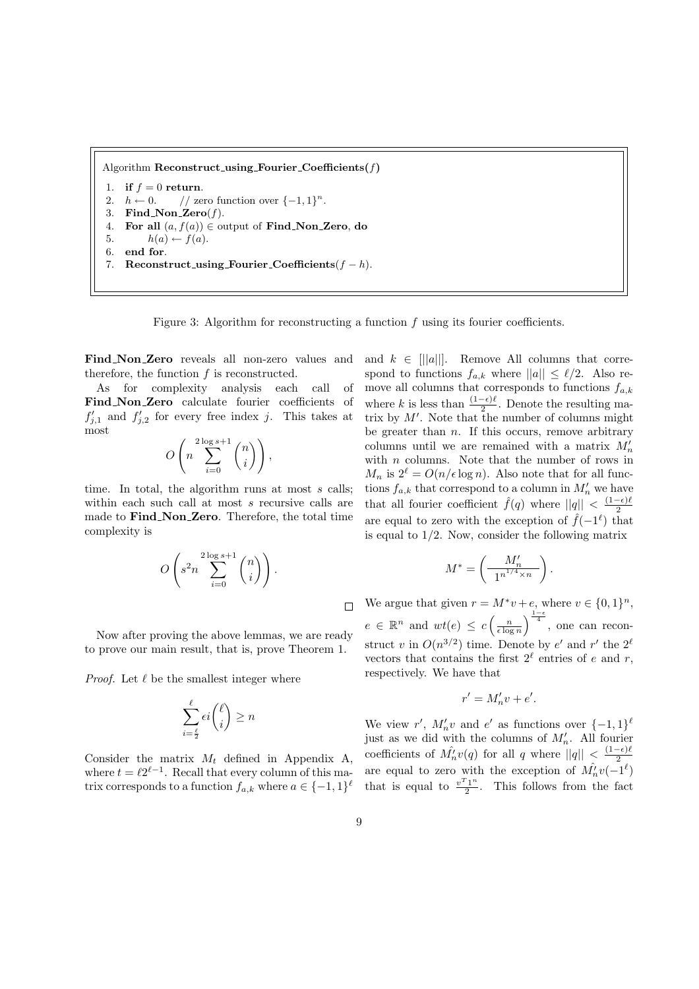Algorithm  $\textbf{Reconstruct\_using\_Fourier\_Coefficients}(f)$ 

- if  $f = 0$  return.
- 2.  $h \leftarrow 0.$  // zero function over  $\{-1,1\}^n$ .
- 3. Find Non Zero $(f)$ .
- 4. For all  $(a, f(a)) \in$  output of Find\_Non\_Zero, do
- 5.  $h(a) \leftarrow f(a)$ . 6. end for.
- 7. Reconstruct\_using\_Fourier\_Coefficients $(f h)$ .

Figure 3: Algorithm for reconstructing a function  $f$  using its fourier coefficients.

Find Non Zero reveals all non-zero values and therefore, the function  $f$  is reconstructed.

As for complexity analysis each call of Find Non Zero calculate fourier coefficients of  $f'_{j,1}$  and  $f'_{j,2}$  for every free index j. This takes at most  $\overline{a}$  $\sqrt{ }$ 

$$
O\left(n\sum_{i=0}^{2\log s+1} \binom{n}{i}\right),
$$

time. In total, the algorithm runs at most s calls: within each such call at most s recursive calls are made to Find\_Non\_Zero. Therefore, the total time complexity is

$$
O\left(s^2 n \sum_{i=0}^{2\log s+1} \binom{n}{i}\right).
$$

Now after proving the above lemmas, we are ready to prove our main result, that is, prove Theorem 1.

*Proof.* Let  $\ell$  be the smallest integer where

$$
\sum_{i=\frac{\ell}{2}}^{\ell} \epsilon i \binom{\ell}{i} \ge n
$$

Consider the matrix  $M_t$  defined in Appendix A, where  $t = \ell 2^{\ell - 1}$ . Recall that every column of this matrix corresponds to a function  $f_{a,k}$  where  $a \in \{-1,1\}^{\ell}$  and  $k \in ||a||$ . Remove All columns that correspond to functions  $f_{a,k}$  where  $||a|| \leq \ell/2$ . Also remove all columns that corresponds to functions  $f_{a,k}$ where k is less than  $\frac{(1-\epsilon)\ell}{2}$ . Denote the resulting matrix by  $M'$ . Note that the number of columns might be greater than  $n$ . If this occurs, remove arbitrary columns until we are remained with a matrix  $M'_n$ with  $n$  columns. Note that the number of rows in  $M_n$  is  $2^{\ell} = O(n/\epsilon \log n)$ . Also note that for all functions  $f_{a,k}$  that correspond to a column in  $M'_n$  we have that all fourier coefficient  $\hat{f}(q)$  where  $||q|| < \frac{(1-\epsilon)\ell}{2}$ 2 are equal to zero with the exception of  $\hat{f}(-1^{\ell})$  that is equal to  $1/2$ . Now, consider the following matrix

$$
M^* = \left(\frac{M'_n}{1^{n^{1/4} \times n}}\right).
$$

We argue that given  $r = M^*v + e$ , where  $v \in \{0,1\}^n$ ,  $e \in \mathbb{R}^n$  and  $wt(e) \leq c$  $\left(\frac{n}{\epsilon \log n}\right)$  $\int_{\frac{1-\epsilon}{4}}^{\frac{1-\epsilon}{4}}$ , one can reconstruct v in  $O(n^{3/2})$  time. Denote by e' and r' the  $2^{\ell}$ vectors that contains the first  $2^{\ell}$  entries of e and r, respectively. We have that

$$
r' = M'_n v + e'.
$$

We view r',  $M'_n v$  and e' as functions over  $\{-1,1\}^{\ell}$ just as we did with the columns of  $M'_n$ . All fourier coefficients of  $\hat{M_n}v(q)$  for all q where  $||q|| < \frac{(1-\epsilon)\ell}{2}$ 2 are equal to zero with the exception of  $\hat{M}_n^{\,\,\prime}v(-1^{\ell})$ that is equal to  $\frac{v^T1^n}{2}$  $\frac{1}{2}$ . This follows from the fact

 $\Box$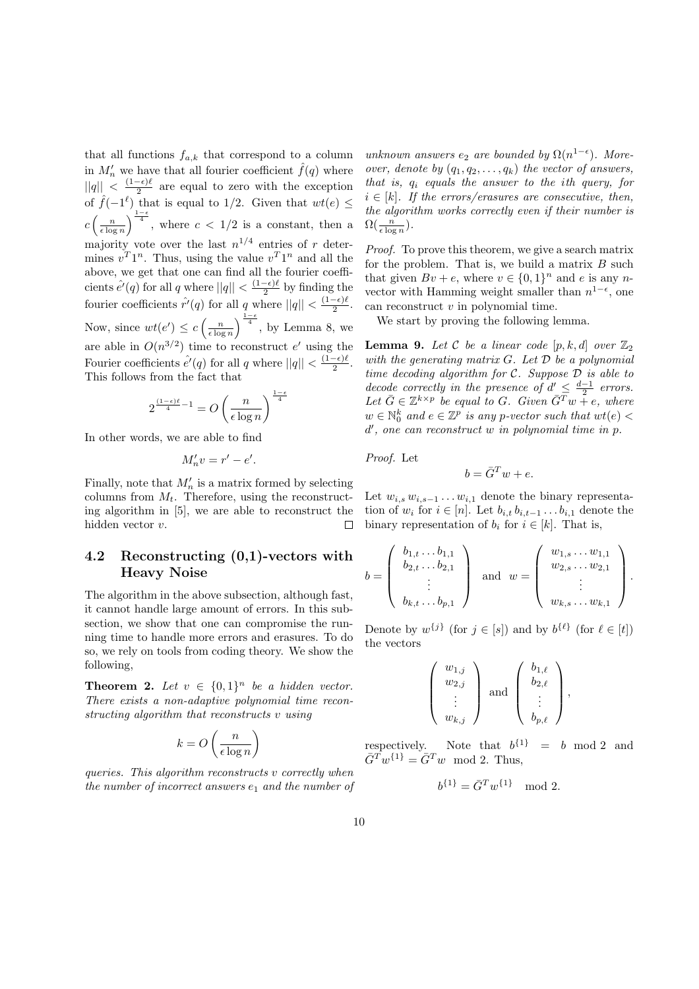that all functions  $f_{a,k}$  that correspond to a column in  $M'_n$  we have that all fourier coefficient  $\hat{f}(q)$  where  $||q|| < \frac{(1-\epsilon)\ell}{2}$  $\frac{-\epsilon}{2}$  are equal to zero with the exception of  $\hat{f}(-1^{\ell})$  that is equal to 1/2. Given that  $wt(e) \leq$ c  $\left(\frac{n}{\epsilon \log n}\right)$  $\int_{\frac{1-\epsilon}{4}}^{\frac{1-\epsilon}{4}}$ , where  $c < 1/2$  is a constant, then a majority vote over the last  $n^{1/4}$  entries of r determines  $v^T1^n$ . Thus, using the value  $v^T1^n$  and all the above, we get that one can find all the fourier coefficients  $\hat{e'}(q)$  for all q where  $||q|| < \frac{(1-\epsilon)\ell}{2}$  $\frac{-\epsilon}{2}$  by finding the fourier coefficients  $\hat{r}'(q)$  for all q where  $||q|| < \frac{(1-\epsilon)\ell}{2}$  $rac{-\epsilon}{2}$ . Now, since  $wt(e') \leq c$  $\left(\frac{n}{\epsilon \log n}\right)$  $\int_{\frac{1-\epsilon}{4}}^{\frac{1-\epsilon}{4}}$ , by Lemma 8, we are able in  $O(n^{3/2})$  time to reconstruct e' using the Fourier coefficients  $\hat{e'}(q)$  for all q where  $||q|| < \frac{(1-\epsilon)\ell}{2}$  $rac{-\epsilon}{2}$ . This follows from the fact that

$$
2^{\frac{(1-\epsilon)\ell}{4}-1}=O\left(\frac{n}{\epsilon\log n}\right)^{\frac{1-\epsilon}{4}}
$$

In other words, we are able to find

$$
M'_n v = r' - e'.
$$

Finally, note that  $M'_n$  is a matrix formed by selecting columns from  $M_t$ . Therefore, using the reconstructing algorithm in [5], we are able to reconstruct the hidden vector v.  $\Box$ 

## 4.2 Reconstructing (0,1)-vectors with Heavy Noise

The algorithm in the above subsection, although fast, it cannot handle large amount of errors. In this subsection, we show that one can compromise the running time to handle more errors and erasures. To do so, we rely on tools from coding theory. We show the following,

**Theorem 2.** Let  $v \in \{0,1\}^n$  be a hidden vector. There exists a non-adaptive polynomial time reconstructing algorithm that reconstructs v using

$$
k = O\left(\frac{n}{\epsilon \log n}\right)
$$

queries. This algorithm reconstructs v correctly when the number of incorrect answers  $e_1$  and the number of unknown answers  $e_2$  are bounded by  $\Omega(n^{1-\epsilon})$ . Moreover, denote by  $(q_1, q_2, \ldots, q_k)$  the vector of answers, that is,  $q_i$  equals the answer to the ith query, for  $i \in [k]$ . If the errors/erasures are consecutive, then, the algorithm works correctly even if their number is  $\Omega(\frac{n}{\epsilon \log n}).$ 

Proof. To prove this theorem, we give a search matrix for the problem. That is, we build a matrix  $B$  such that given  $Bv + e$ , where  $v \in \{0,1\}^n$  and e is any nvector with Hamming weight smaller than  $n^{1-\epsilon}$ , one can reconstruct v in polynomial time.

We start by proving the following lemma.

**Lemma 9.** Let C be a linear code  $[p, k, d]$  over  $\mathbb{Z}_2$ with the generating matrix  $G$ . Let  $\mathcal D$  be a polynomial time decoding algorithm for  $C$ . Suppose  $D$  is able to decode correctly in the presence of  $d' \leq \frac{d-1}{2}$  errors. Let  $\bar{G} \in \mathbb{Z}^{k \times p}$  be equal to G. Given  $\bar{G}^T w + e$ , where  $w \in \mathbb{N}_0^k$  and  $e \in \mathbb{Z}^p$  is any p-vector such that  $wt(e)$ d 0 , one can reconstruct w in polynomial time in p.

Proof. Let

$$
b = \bar{G}^T w + e.
$$

Let  $w_{i,s} w_{i,s-1} \ldots w_{i,1}$  denote the binary representation of  $w_i$  for  $i \in [n]$ . Let  $b_{i,t}$ ,  $b_{i,t-1}$ ...,  $b_{i,1}$  denote the binary representation of  $b_i$  for  $i \in [k]$ . That is,

$$
b = \left(\begin{array}{c}b_{1,t} \dots b_{1,1} \\ b_{2,t} \dots b_{2,1} \\ \vdots \\ b_{k,t} \dots b_{p,1}\end{array}\right) \text{ and } w = \left(\begin{array}{c}w_{1,s} \dots w_{1,1} \\ w_{2,s} \dots w_{2,1} \\ \vdots \\ w_{k,s} \dots w_{k,1}\end{array}\right).
$$

Denote by  $w^{\{j\}}$  (for  $j \in [s]$ ) and by  $b^{\{\ell\}}$  (for  $\ell \in [t]$ ) the vectors

$$
\left(\begin{array}{c}w_{1,j} \\ w_{2,j} \\ \vdots \\ w_{k,j}\end{array}\right) \text{ and } \left(\begin{array}{c}b_{1,\ell} \\ b_{2,\ell} \\ \vdots \\ b_{p,\ell}\end{array}\right),
$$

respectively. Note that  $b^{\{1\}} = b \mod 2$  and  $\overline{G}^T w^{\{1\}} = \overline{G}^T w \mod 2$ . Thus,

$$
b^{\{1\}} = \bar{G}^T w^{\{1\}} \mod 2.
$$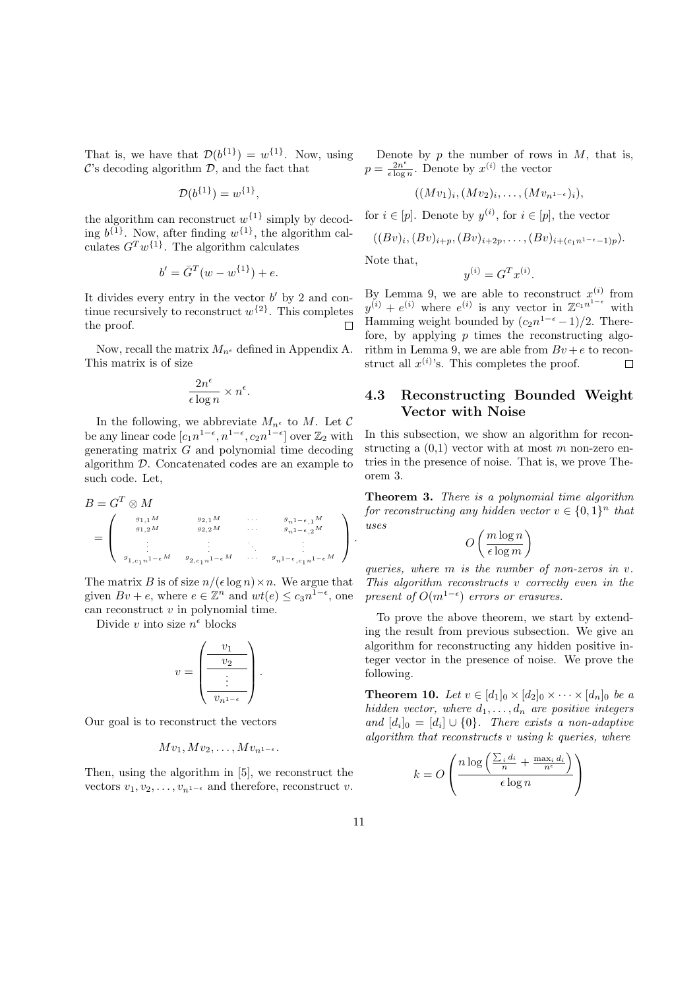That is, we have that  $\mathcal{D}(b^{\{1\}}) = w^{\{1\}}$ . Now, using  $\mathcal{C}$ 's decoding algorithm  $\mathcal{D}$ , and the fact that

$$
\mathcal{D}(b^{\{1\}}) = w^{\{1\}},
$$

the algorithm can reconstruct  $w^{\{1\}}$  simply by decoding  $b^{\{1\}}$ . Now, after finding  $w^{\{1\}}$ , the algorithm calculates  $G^Tw^{\{1\}}$ . The algorithm calculates

$$
b' = \bar{G}^T(w - w^{\{1\}}) + e.
$$

It divides every entry in the vector  $b'$  by 2 and continue recursively to reconstruct  $w^{\{2\}}$ . This completes the proof.  $\Box$ 

Now, recall the matrix  $M_{n^{\epsilon}}$  defined in Appendix A. This matrix is of size

$$
\frac{2n^{\epsilon}}{\epsilon \log n} \times n^{\epsilon}.
$$

In the following, we abbreviate  $M_{n^{\epsilon}}$  to  $M.$  Let  $\mathcal C$ be any linear code  $[c_1n^{1-\epsilon}, n^{1-\epsilon}, c_2n^{1-\epsilon}]$  over  $\mathbb{Z}_2$  with generating matrix G and polynomial time decoding algorithm D. Concatenated codes are an example to such code. Let,

$$
B = G^T \otimes M
$$
  
= 
$$
\begin{pmatrix} g_{1,1}M & g_{2,1}M & \cdots & g_{n1-\epsilon,1}M \\ g_{1,2}M & g_{2,2}M & \cdots & g_{n1-\epsilon,2}M \\ \vdots & \vdots & \ddots & \vdots \\ g_{1,c_1n1-\epsilon}M & g_{2,c_1n1-\epsilon}M & \cdots & g_{n1-\epsilon,c_1n1-\epsilon}M \end{pmatrix}.
$$

The matrix B is of size  $n/(\epsilon \log n) \times n$ . We argue that given  $Bv + e$ , where  $e \in \mathbb{Z}^n$  and  $wt(e) \leq c_3 n^{1-\epsilon}$ , one can reconstruct  $v$  in polynomial time.

Divide v into size  $n^{\epsilon}$  blocks

$$
v = \begin{pmatrix} \frac{v_1}{v_2} \\ \frac{\cdot}{\cdot} \\ \frac{\cdot}{v_{n^{1-\epsilon}}} \end{pmatrix}
$$

.

 $\mathbb{R}^2$ 

Our goal is to reconstruct the vectors

$$
Mv_1, Mv_2, \ldots, Mv_{n^{1-\epsilon}}.
$$

Then, using the algorithm in [5], we reconstruct the vectors  $v_1, v_2, \ldots, v_{n^{1-\epsilon}}$  and therefore, reconstruct v.

Denote by  $p$  the number of rows in  $M$ , that is,  $p = \frac{2n^{\epsilon}}{\epsilon \log n}$  $\frac{2n^{\epsilon}}{\epsilon \log n}$ . Denote by  $x^{(i)}$  the vector

$$
((Mv_1)_i, (Mv_2)_i, \ldots, (Mv_{n^{1-\epsilon}})_i),
$$

for  $i \in [p]$ . Denote by  $y^{(i)}$ , for  $i \in [p]$ , the vector

$$
((Bv)_i, (Bv)_{i+p}, (Bv)_{i+2p}, \ldots, (Bv)_{i+(c_1n^{1-\epsilon}-1)p}).
$$

Note that,

$$
y^{(i)} = G^T x^{(i)}.
$$

By Lemma 9, we are able to reconstruct  $x^{(i)}$  from  $y^{(i)} + e^{(i)}$  where  $e^{(i)}$  is any vector in  $\mathbb{Z}^{c_1 n^{1-\epsilon}}$  with Hamming weight bounded by  $(c_2n^{1-\epsilon}-1)/2$ . Therefore, by applying  $p$  times the reconstructing algorithm in Lemma 9, we are able from  $Bv + e$  to reconstruct all  $x^{(i)}$ 's. This completes the proof.  $\Box$ 

### 4.3 Reconstructing Bounded Weight Vector with Noise

In this subsection, we show an algorithm for reconstructing a  $(0,1)$  vector with at most m non-zero entries in the presence of noise. That is, we prove Theorem 3.

Theorem 3. There is a polynomial time algorithm for reconstructing any hidden vector  $v \in \{0,1\}^n$  that uses  $\overline{a}$  $\mathbf{r}$ 

$$
O\left(\frac{m\log n}{\epsilon\log m}\right)
$$

queries, where m is the number of non-zeros in v. This algorithm reconstructs  $v$  correctly even in the present of  $O(m^{1-\epsilon})$  errors or erasures.

To prove the above theorem, we start by extending the result from previous subsection. We give an algorithm for reconstructing any hidden positive integer vector in the presence of noise. We prove the following.

**Theorem 10.** Let  $v \in [d_1]_0 \times [d_2]_0 \times \cdots \times [d_n]_0$  be a hidden vector, where  $d_1, \ldots, d_n$  are positive integers and  $[d_i]_0 = [d_i] \cup \{0\}$ . There exists a non-adaptive algorithm that reconstructs  $v$  using  $k$  queries, where

$$
k = O\left(\frac{n \log\left(\frac{\sum_i d_i}{n} + \frac{\max_i d_i}{n^{\epsilon}}\right)}{\epsilon \log n}\right)
$$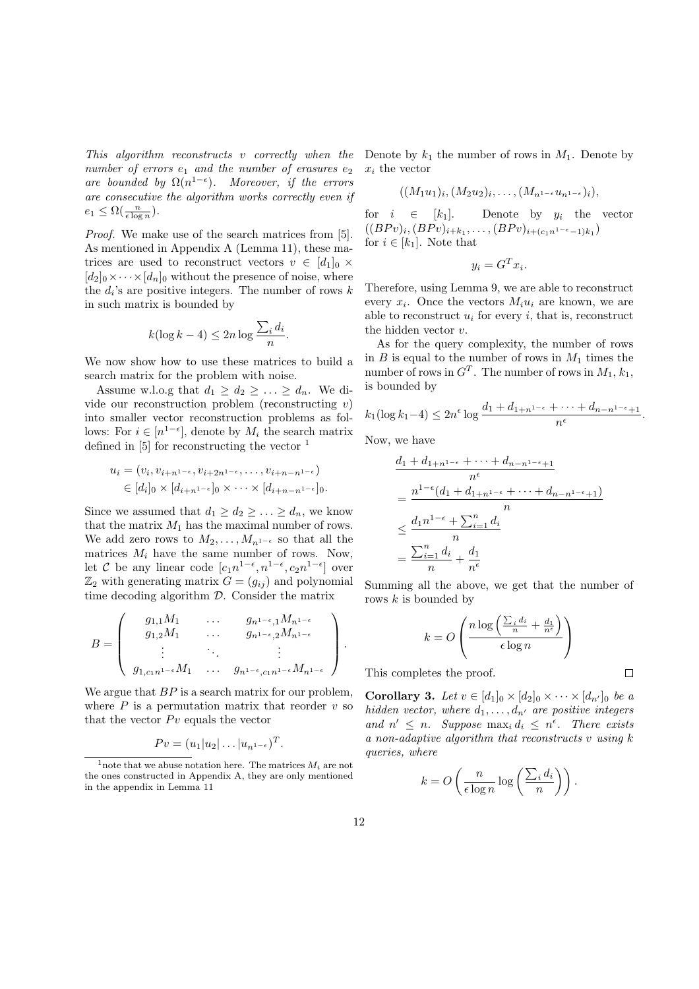This algorithm reconstructs v correctly when the number of errors  $e_1$  and the number of erasures  $e_2$ are bounded by  $\Omega(n^{1-\epsilon})$ . Moreover, if the errors are consecutive the algorithm works correctly even if  $e_1 \leq \Omega(\frac{n}{\epsilon \log n}).$ 

Proof. We make use of the search matrices from [5]. As mentioned in Appendix A (Lemma 11), these matrices are used to reconstruct vectors  $v \in [d_1]_0 \times$  $[d_2]_0 \times \cdots \times [d_n]_0$  without the presence of noise, where the  $d_i$ 's are positive integers. The number of rows  $k$ in such matrix is bounded by

$$
k(\log k - 4) \le 2n \log \frac{\sum_i d_i}{n}.
$$

We now show how to use these matrices to build a search matrix for the problem with noise.

Assume w.l.o.g that  $d_1 \geq d_2 \geq \ldots \geq d_n$ . We divide our reconstruction problem (reconstructing  $v$ ) into smaller vector reconstruction problems as follows: For  $i \in [n^{1-\epsilon}]$ , denote by  $M_i$  the search matrix defined in  $[5]$  for reconstructing the vector  $<sup>1</sup>$ </sup>

$$
u_i = (v_i, v_{i+n^{1-\epsilon}}, v_{i+2n^{1-\epsilon}}, \dots, v_{i+n-n^{1-\epsilon}})
$$
  
\n
$$
\in [d_i]_0 \times [d_{i+n^{1-\epsilon}}]_0 \times \dots \times [d_{i+n-n^{1-\epsilon}}]_0.
$$

Since we assumed that  $d_1 \geq d_2 \geq \ldots \geq d_n$ , we know that the matrix  $M_1$  has the maximal number of rows. We add zero rows to  $M_2, \ldots, M_{n^{1-\epsilon}}$  so that all the matrices  $M_i$  have the same number of rows. Now, let C be any linear code  $[c_1n^{1-\epsilon}, n^{1-\epsilon}, c_2n^{1-\epsilon}]$  over  $\mathbb{Z}_2$  with generating matrix  $G = (g_{ij})$  and polynomial time decoding algorithm D. Consider the matrix

$$
B=\left(\begin{array}{cccc}g_{1,1}M_1&\dots&g_{n^{1-\epsilon},1}M_{n^{1-\epsilon}}\\ g_{1,2}M_1&\dots&g_{n^{1-\epsilon},2}M_{n^{1-\epsilon}}\\ \vdots&\ddots&\vdots\\ g_{1,c_1n^{1-\epsilon}}M_1&\dots&g_{n^{1-\epsilon},c_1n^{1-\epsilon}}M_{n^{1-\epsilon}}\end{array}\right).
$$

We argue that  $BP$  is a search matrix for our problem, where  $P$  is a permutation matrix that reorder  $v$  so that the vector  $P v$  equals the vector

$$
Pv = (u_1|u_2|\dots|u_{n^{1-\epsilon}})^T.
$$

Denote by  $k_1$  the number of rows in  $M_1$ . Denote by  $x_i$  the vector

$$
((M_1u_1)_i,(M_2u_2)_i,\ldots,(M_{n^{1-\epsilon}}u_{n^{1-\epsilon}})_i),
$$

for  $i \in [k_1]$ . Denote by  $y_i$  the vector  $((BPv)_i, (BPv)_{i+k_1}, \ldots, (BPv)_{i+(c_1n^{1-\epsilon}-1)k_1})$ for  $i \in [k_1]$ . Note that

$$
y_i = G^T x_i.
$$

Therefore, using Lemma 9, we are able to reconstruct every  $x_i$ . Once the vectors  $M_i u_i$  are known, we are able to reconstruct  $u_i$  for every i, that is, reconstruct the hidden vector v.

As for the query complexity, the number of rows in  $B$  is equal to the number of rows in  $M_1$  times the number of rows in  $G<sup>T</sup>$ . The number of rows in  $M_1, k_1$ , is bounded by

$$
k_1(\log k_1 - 4) \le 2n^{\epsilon} \log \frac{d_1 + d_{1+n^{1-\epsilon}} + \dots + d_{n-n^{1-\epsilon}+1}}{n^{\epsilon}}.
$$

Now, we have

$$
\frac{d_1 + d_{1+n^{1-\epsilon}} + \dots + d_{n-n^{1-\epsilon}+1}}{n^{\epsilon}}
$$
\n
$$
= \frac{n^{1-\epsilon}(d_1 + d_{1+n^{1-\epsilon}} + \dots + d_{n-n^{1-\epsilon}+1})}{n}
$$
\n
$$
\leq \frac{d_1 n^{1-\epsilon} + \sum_{i=1}^n d_i}{n}
$$
\n
$$
= \frac{\sum_{i=1}^n d_i}{n} + \frac{d_1}{n^{\epsilon}}
$$

Summing all the above, we get that the number of rows  $k$  is bounded by

$$
k = O\left(\frac{n\log\left(\frac{\sum_i d_i}{n} + \frac{d_1}{n^{\epsilon}}\right)}{\epsilon \log n}\right)
$$

 $\Box$ 

This completes the proof.

**Corollary 3.** Let  $v \in [d_1]_0 \times [d_2]_0 \times \cdots \times [d_{n'}]_0$  be a hidden vector, where  $d_1, \ldots, d_{n'}$  are positive integers and  $n' \leq n$ . Suppose  $\max_i d_i \leq n^{\epsilon}$ . There exists a non-adaptive algorithm that reconstructs  $v$  using  $k$ queries, where

$$
k = O\left(\frac{n}{\epsilon \log n} \log \left(\frac{\sum_i d_i}{n}\right)\right).
$$

<sup>&</sup>lt;sup>1</sup> note that we abuse notation here. The matrices  $M_i$  are not the ones constructed in Appendix A, they are only mentioned in the appendix in Lemma 11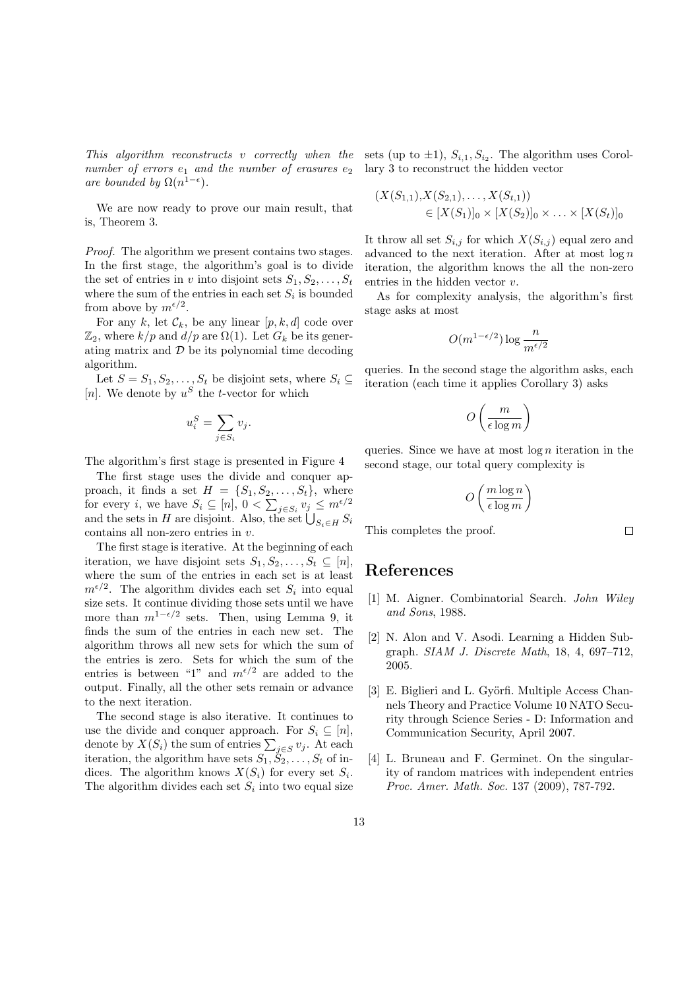number of errors  $e_1$  and the number of erasures  $e_2$  lary 3 to reconstruct the hidden vector are bounded by  $\Omega(n^{1-\epsilon})$ .

We are now ready to prove our main result, that is, Theorem 3.

Proof. The algorithm we present contains two stages. In the first stage, the algorithm's goal is to divide the set of entries in v into disjoint sets  $S_1, S_2, \ldots, S_t$ where the sum of the entries in each set  $S_i$  is bounded from above by  $m^{\epsilon/2}$ .

For any k, let  $\mathcal{C}_k$ , be any linear  $[p, k, d]$  code over  $\mathbb{Z}_2$ , where  $k/p$  and  $d/p$  are  $\Omega(1)$ . Let  $G_k$  be its generating matrix and  $D$  be its polynomial time decoding algorithm.

Let  $S = S_1, S_2, \ldots, S_t$  be disjoint sets, where  $S_i \subseteq$ [n]. We denote by  $u^S$  the *t*-vector for which

$$
u_i^S = \sum_{j \in S_i} v_j.
$$

The algorithm's first stage is presented in Figure 4

The first stage uses the divide and conquer approach, it finds a set  $H = \{S_1, S_2, \ldots, S_t\}$ , where for every *i*, we have  $S_i \subseteq [n]$ ,  $0 < \sum_{j \in S_i} v_j \leq m^{\epsilon/2}$ for every *i*, we have  $S_i \subseteq [n]$ ,  $0 < \sum_{j \in S_i} v_j \le m^{r-1}$ <br>and the sets in H are disjoint. Also, the set  $\bigcup_{S_i \in H} S_i$ contains all non-zero entries in  $v$ .

The first stage is iterative. At the beginning of each iteration, we have disjoint sets  $S_1, S_2, \ldots, S_t \subseteq [n],$ where the sum of the entries in each set is at least  $m^{\epsilon/2}$ . The algorithm divides each set  $S_i$  into equal size sets. It continue dividing those sets until we have more than  $m^{1-\epsilon/2}$  sets. Then, using Lemma 9, it finds the sum of the entries in each new set. The algorithm throws all new sets for which the sum of the entries is zero. Sets for which the sum of the entries is between "1" and  $m^{\epsilon/2}$  are added to the output. Finally, all the other sets remain or advance to the next iteration.

The second stage is also iterative. It continues to use the divide and conquer approach. For  $S_i \subseteq [n]$ , denote by  $X(S_i)$  the sum of entries  $\sum_{j \in S} v_j$ . At each iteration, the algorithm have sets  $S_1, \check{S}_2, \ldots, S_t$  of indices. The algorithm knows  $X(S_i)$  for every set  $S_i$ . The algorithm divides each set  $S_i$  into two equal size

This algorithm reconstructs v correctly when the sets (up to  $\pm 1$ ),  $S_{i,1}$ ,  $S_{i_2}$ . The algorithm uses Corol-

$$
(X(S_{1,1}), X(S_{2,1}), \dots, X(S_{t,1}))
$$
  
\n
$$
\in [X(S_1)]_0 \times [X(S_2)]_0 \times \dots \times [X(S_t)]_0
$$

It throw all set  $S_{i,j}$  for which  $X(S_{i,j})$  equal zero and advanced to the next iteration. After at most  $\log n$ iteration, the algorithm knows the all the non-zero entries in the hidden vector v.

As for complexity analysis, the algorithm's first stage asks at most

$$
O(m^{1-\epsilon/2})\log\frac{n}{m^{\epsilon/2}}
$$

queries. In the second stage the algorithm asks, each iteration (each time it applies Corollary 3) asks

$$
O\left(\frac{m}{\epsilon \log m}\right)
$$

queries. Since we have at most  $\log n$  iteration in the second stage, our total query complexity is

$$
O\left(\frac{m\log n}{\epsilon\log m}\right)
$$

 $\Box$ 

This completes the proof.

## References

- [1] M. Aigner. Combinatorial Search. John Wiley and Sons, 1988.
- [2] N. Alon and V. Asodi. Learning a Hidden Subgraph. SIAM J. Discrete Math, 18, 4, 697–712, 2005.
- [3] E. Biglieri and L. Györfi. Multiple Access Channels Theory and Practice Volume 10 NATO Security through Science Series - D: Information and Communication Security, April 2007.
- [4] L. Bruneau and F. Germinet. On the singularity of random matrices with independent entries Proc. Amer. Math. Soc. 137 (2009), 787-792.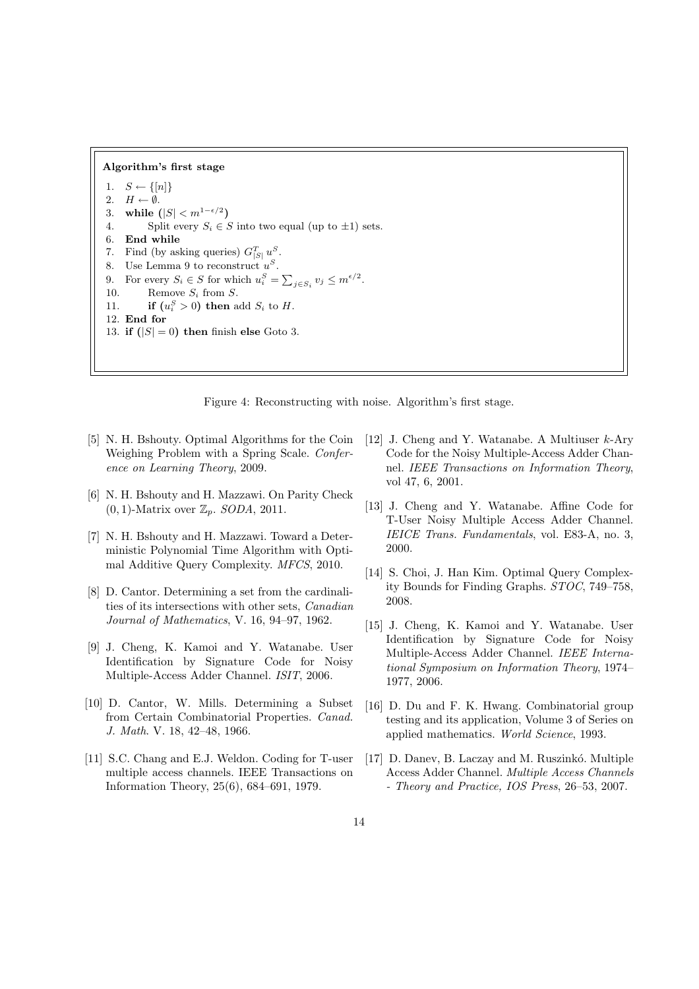#### Algorithm's first stage

1.  $S \leftarrow \{ [n] \}$ 2.  $H \leftarrow \emptyset$ . 3. while  $(|S| < m^{1-\epsilon/2})$ 4. Split every  $S_i \in S$  into two equal (up to  $\pm 1$ ) sets. 6. End while 7. Find (by asking queries)  $G_{|S|}^T u^S$ . 8. Use Lemma 9 to reconstruct  $u^S$ . 9. For every  $S_i \in S$  for which  $u_i^S = \sum$  $_{j\in S_i} v_j \leq m^{\epsilon/2}.$ 10. Remove  $S_i$  from  $S$ . 11. **if**  $(u_i^S > 0)$  then add  $S_i$  to H. 12. End for 13. if  $(|S| = 0)$  then finish else Goto 3.

Figure 4: Reconstructing with noise. Algorithm's first stage.

- [5] N. H. Bshouty. Optimal Algorithms for the Coin Weighing Problem with a Spring Scale. Conference on Learning Theory, 2009.
- [6] N. H. Bshouty and H. Mazzawi. On Parity Check  $(0, 1)$ -Matrix over  $\mathbb{Z}_p$ . SODA, 2011.
- [7] N. H. Bshouty and H. Mazzawi. Toward a Deterministic Polynomial Time Algorithm with Optimal Additive Query Complexity. MFCS, 2010.
- [8] D. Cantor. Determining a set from the cardinalities of its intersections with other sets, Canadian Journal of Mathematics, V. 16, 94–97, 1962.
- [9] J. Cheng, K. Kamoi and Y. Watanabe. User Identification by Signature Code for Noisy Multiple-Access Adder Channel. ISIT, 2006.
- [10] D. Cantor, W. Mills. Determining a Subset from Certain Combinatorial Properties. Canad. J. Math. V. 18, 42–48, 1966.
- [11] S.C. Chang and E.J. Weldon. Coding for T-user multiple access channels. IEEE Transactions on Information Theory, 25(6), 684–691, 1979.
- [12] J. Cheng and Y. Watanabe. A Multiuser k-Ary Code for the Noisy Multiple-Access Adder Channel. IEEE Transactions on Information Theory, vol 47, 6, 2001.
- [13] J. Cheng and Y. Watanabe. Affine Code for T-User Noisy Multiple Access Adder Channel. IEICE Trans. Fundamentals, vol. E83-A, no. 3, 2000.
- [14] S. Choi, J. Han Kim. Optimal Query Complexity Bounds for Finding Graphs. STOC, 749–758, 2008.
- [15] J. Cheng, K. Kamoi and Y. Watanabe. User Identification by Signature Code for Noisy Multiple-Access Adder Channel. IEEE International Symposium on Information Theory, 1974– 1977, 2006.
- [16] D. Du and F. K. Hwang. Combinatorial group testing and its application, Volume 3 of Series on applied mathematics. World Science, 1993.
- [17] D. Danev, B. Laczay and M. Ruszinkó. Multiple Access Adder Channel. Multiple Access Channels - Theory and Practice, IOS Press, 26–53, 2007.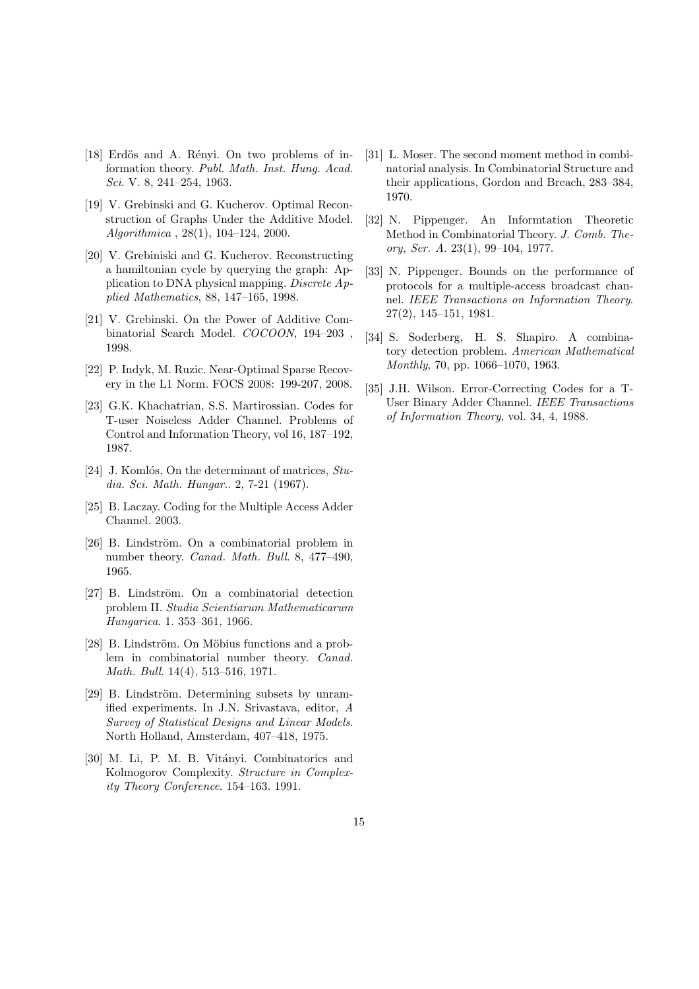- [18] Erdös and A. Rényi. On two problems of information theory. Publ. Math. Inst. Hung. Acad. Sci. V. 8, 241–254, 1963.
- [19] V. Grebinski and G. Kucherov. Optimal Reconstruction of Graphs Under the Additive Model. Algorithmica , 28(1), 104–124, 2000.
- [20] V. Grebiniski and G. Kucherov. Reconstructing a hamiltonian cycle by querying the graph: Application to DNA physical mapping. Discrete Applied Mathematics, 88, 147–165, 1998.
- [21] V. Grebinski. On the Power of Additive Combinatorial Search Model. COCOON, 194–203 , 1998.
- [22] P. Indyk, M. Ruzic. Near-Optimal Sparse Recovery in the L1 Norm. FOCS 2008: 199-207, 2008.
- [23] G.K. Khachatrian, S.S. Martirossian. Codes for T-user Noiseless Adder Channel. Problems of Control and Information Theory, vol 16, 187–192, 1987.
- [24] J. Komlós, On the determinant of matrices,  $Stu$ dia. Sci. Math. Hungar.. 2, 7-21 (1967).
- [25] B. Laczay. Coding for the Multiple Access Adder Channel. 2003.
- [26] B. Lindström. On a combinatorial problem in number theory. Canad. Math. Bull. 8, 477–490, 1965.
- [27] B. Lindström. On a combinatorial detection problem II. Studia Scientiarum Mathematicarum Hungarica. 1. 353–361, 1966.
- [28] B. Lindström. On Möbius functions and a problem in combinatorial number theory. Canad. Math. Bull. 14(4), 513–516, 1971.
- [29] B. Lindström. Determining subsets by unramified experiments. In J.N. Srivastava, editor, A Survey of Statistical Designs and Linear Models. North Holland, Amsterdam, 407–418, 1975.
- [30] M. Li, P. M. B. Vitányi. Combinatorics and Kolmogorov Complexity. Structure in Complexity Theory Conference. 154–163. 1991.
- [31] L. Moser. The second moment method in combinatorial analysis. In Combinatorial Structure and their applications, Gordon and Breach, 283–384, 1970.
- [32] N. Pippenger. An Informtation Theoretic Method in Combinatorial Theory. J. Comb. Theory, Ser. A. 23(1), 99–104, 1977.
- [33] N. Pippenger. Bounds on the performance of protocols for a multiple-access broadcast channel. IEEE Transactions on Information Theory. 27(2), 145–151, 1981.
- [34] S. Soderberg, H. S. Shapiro. A combinatory detection problem. American Mathematical Monthly, 70, pp. 1066–1070, 1963.
- [35] J.H. Wilson. Error-Correcting Codes for a T-User Binary Adder Channel. IEEE Transactions of Information Theory, vol. 34, 4, 1988.